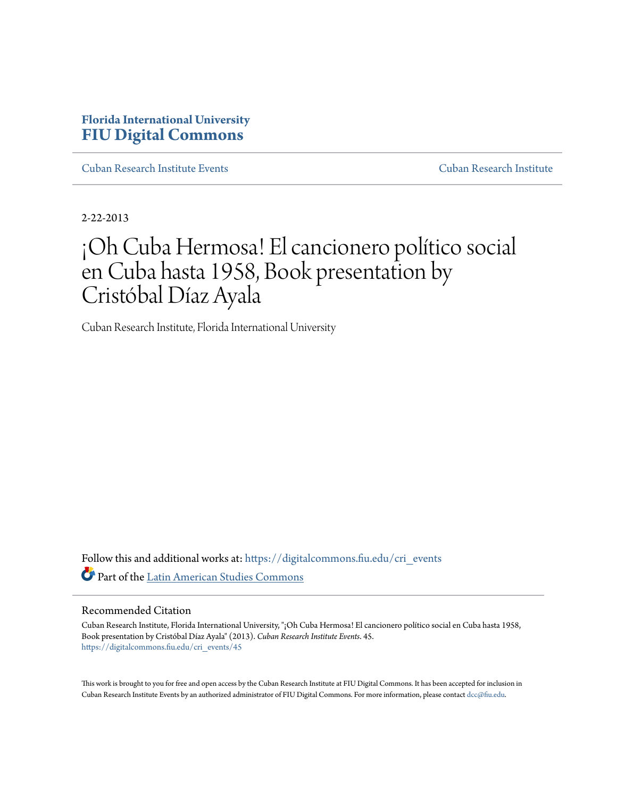#### **Florida International University [FIU Digital Commons](https://digitalcommons.fiu.edu?utm_source=digitalcommons.fiu.edu%2Fcri_events%2F45&utm_medium=PDF&utm_campaign=PDFCoverPages)**

[Cuban Research Institute Events](https://digitalcommons.fiu.edu/cri_events?utm_source=digitalcommons.fiu.edu%2Fcri_events%2F45&utm_medium=PDF&utm_campaign=PDFCoverPages) [Cuban Research Institute](https://digitalcommons.fiu.edu/cri?utm_source=digitalcommons.fiu.edu%2Fcri_events%2F45&utm_medium=PDF&utm_campaign=PDFCoverPages)

2-22-2013

### ¡Oh Cuba Hermosa! El cancionero político social en Cuba hasta 1958, Book presentation by Cristóbal Díaz Ayala

Cuban Research Institute, Florida International University

Follow this and additional works at: [https://digitalcommons.fiu.edu/cri\\_events](https://digitalcommons.fiu.edu/cri_events?utm_source=digitalcommons.fiu.edu%2Fcri_events%2F45&utm_medium=PDF&utm_campaign=PDFCoverPages) Part of the [Latin American Studies Commons](http://network.bepress.com/hgg/discipline/363?utm_source=digitalcommons.fiu.edu%2Fcri_events%2F45&utm_medium=PDF&utm_campaign=PDFCoverPages)

#### Recommended Citation

Cuban Research Institute, Florida International University, "¡Oh Cuba Hermosa! El cancionero político social en Cuba hasta 1958, Book presentation by Cristóbal Díaz Ayala" (2013). *Cuban Research Institute Events*. 45. [https://digitalcommons.fiu.edu/cri\\_events/45](https://digitalcommons.fiu.edu/cri_events/45?utm_source=digitalcommons.fiu.edu%2Fcri_events%2F45&utm_medium=PDF&utm_campaign=PDFCoverPages)

This work is brought to you for free and open access by the Cuban Research Institute at FIU Digital Commons. It has been accepted for inclusion in Cuban Research Institute Events by an authorized administrator of FIU Digital Commons. For more information, please contact [dcc@fiu.edu](mailto:dcc@fiu.edu).